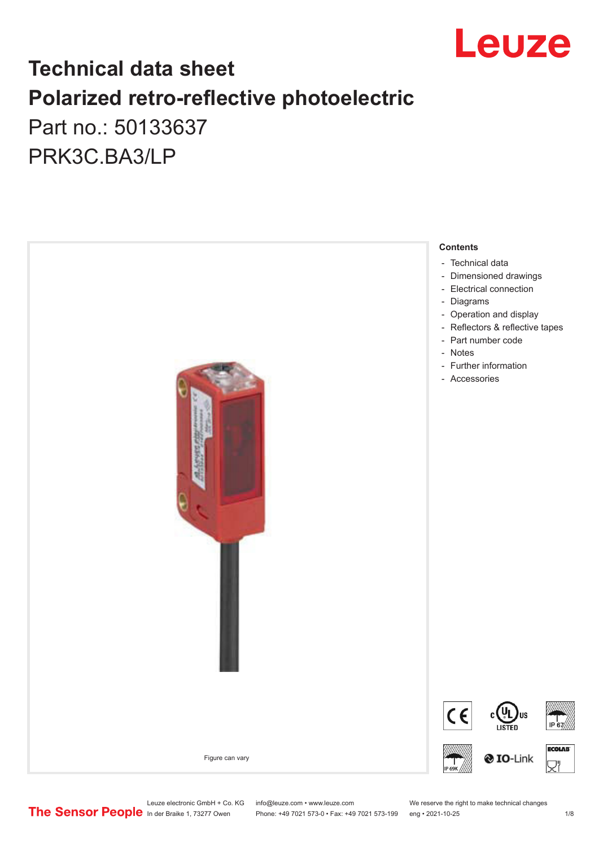

## **Technical data sheet Polarized retro-reflective photoelectric**  Part no.: 50133637

PRK3C.BA3/LP



Leuze electronic GmbH + Co. KG info@leuze.com • www.leuze.com We reserve the right to make technical changes<br>
The Sensor People in der Braike 1, 73277 Owen Phone: +49 7021 573-0 • Fax: +49 7021 573-199 eng • 2021-10-25

Phone: +49 7021 573-0 • Fax: +49 7021 573-199 eng • 2021-10-25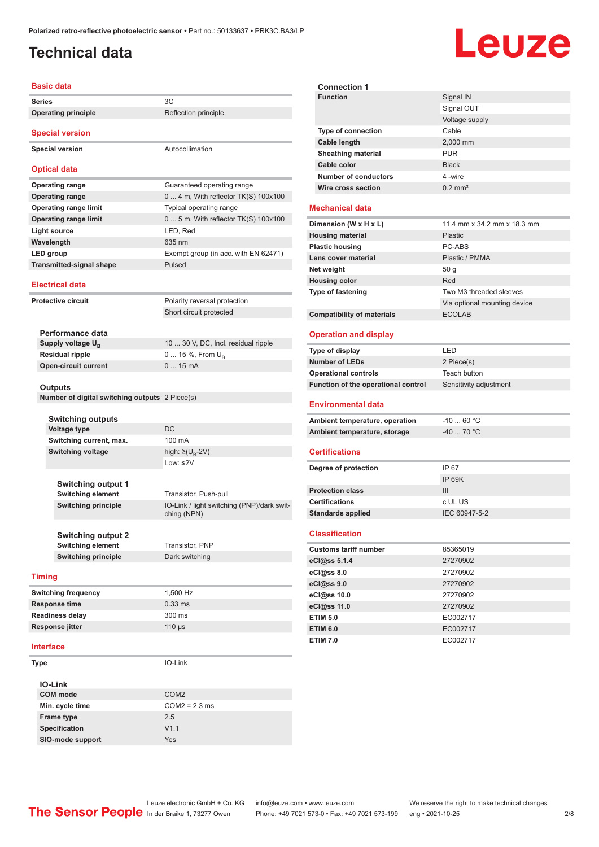### <span id="page-1-0"></span>**Technical data**

# Leuze

| <b>Basic data</b>                              |                                                           |  |
|------------------------------------------------|-----------------------------------------------------------|--|
| <b>Series</b>                                  | 3C                                                        |  |
| <b>Operating principle</b>                     | Reflection principle                                      |  |
| <b>Special version</b>                         |                                                           |  |
| <b>Special version</b>                         | Autocollimation                                           |  |
| <b>Optical data</b>                            |                                                           |  |
| <b>Operating range</b>                         | Guaranteed operating range                                |  |
| <b>Operating range</b>                         | 0  4 m, With reflector TK(S) 100x100                      |  |
| <b>Operating range limit</b>                   | Typical operating range                                   |  |
| <b>Operating range limit</b>                   | $05$ m, With reflector TK(S) 100x100                      |  |
| <b>Light source</b>                            | LED, Red                                                  |  |
| Wavelength                                     | 635 nm                                                    |  |
| LED group                                      | Exempt group (in acc. with EN 62471)                      |  |
| <b>Transmitted-signal shape</b>                | Pulsed                                                    |  |
| <b>Electrical data</b>                         |                                                           |  |
| <b>Protective circuit</b>                      | Polarity reversal protection                              |  |
|                                                | Short circuit protected                                   |  |
|                                                |                                                           |  |
| Performance data                               |                                                           |  |
| Supply voltage $U_{B}$                         | 10  30 V, DC, Incl. residual ripple                       |  |
| <b>Residual ripple</b>                         | 0  15 %, From $U_{\rm B}$                                 |  |
| <b>Open-circuit current</b>                    | 015mA                                                     |  |
| <b>Outputs</b>                                 |                                                           |  |
| Number of digital switching outputs 2 Piece(s) |                                                           |  |
|                                                |                                                           |  |
| <b>Switching outputs</b>                       |                                                           |  |
| <b>Voltage type</b>                            | <b>DC</b>                                                 |  |
| Switching current, max.                        | 100 mA                                                    |  |
| <b>Switching voltage</b>                       | high: ≥( $U_B$ -2V)<br>Low: $\leq$ 2V                     |  |
|                                                |                                                           |  |
| <b>Switching output 1</b>                      |                                                           |  |
| <b>Switching element</b>                       | Transistor, Push-pull                                     |  |
| <b>Switching principle</b>                     | IO-Link / light switching (PNP)/dark swit-<br>ching (NPN) |  |
| <b>Switching output 2</b>                      |                                                           |  |
| <b>Switching element</b>                       | Transistor, PNP                                           |  |
| <b>Switching principle</b>                     | Dark switching                                            |  |
|                                                |                                                           |  |
| <b>Timing</b>                                  |                                                           |  |
| <b>Switching frequency</b>                     | 1,500 Hz                                                  |  |
| <b>Response time</b>                           | $0.33$ ms                                                 |  |
| Readiness delay                                | 300 ms                                                    |  |
| Response jitter                                | $110 \mu s$                                               |  |
| <b>Interface</b>                               |                                                           |  |
| <b>Type</b>                                    | IO-Link                                                   |  |
| <b>IO-Link</b>                                 |                                                           |  |
| <b>COM</b> mode                                | COM <sub>2</sub>                                          |  |
| Min. cycle time                                | $COM2 = 2.3$ ms                                           |  |
| Frame type                                     | 2.5                                                       |  |

| <b>Connection 1</b>       |                       |
|---------------------------|-----------------------|
| <b>Function</b>           | Signal IN             |
|                           | Signal OUT            |
|                           | Voltage supply        |
| <b>Type of connection</b> | Cable                 |
| Cable length              | 2,000 mm              |
| <b>Sheathing material</b> | <b>PUR</b>            |
| Cable color               | <b>Black</b>          |
| Number of conductors      | 4-wire                |
| Wire cross section        | $0.2$ mm <sup>2</sup> |
|                           |                       |

#### **Mechanical data**

| Dimension (W x H x L)             | 11.4 mm x 34.2 mm x 18.3 mm  |
|-----------------------------------|------------------------------|
| <b>Housing material</b>           | Plastic                      |
| <b>Plastic housing</b>            | PC-ABS                       |
| Lens cover material               | Plastic / PMMA               |
| Net weight                        | 50q                          |
| <b>Housing color</b>              | Red                          |
| Type of fastening                 | Two M3 threaded sleeves      |
|                                   | Via optional mounting device |
| <b>Compatibility of materials</b> | <b>ECOLAB</b>                |
|                                   |                              |

#### **Operation and display**

| Type of display                     | LED                    |
|-------------------------------------|------------------------|
| <b>Number of LEDs</b>               | 2 Piece(s)             |
| <b>Operational controls</b>         | Teach button           |
| Function of the operational control | Sensitivity adjustment |
| <b>Environmental data</b>           |                        |
| Ambient temperature, operation      | $-10$ 60 °C            |
| Ambient temperature, storage        | $-4070 °C$             |
| <b>Certifications</b>               |                        |
| Degree of protection                | IP 67                  |
|                                     | IP 69K                 |
| <b>Protection class</b>             | III                    |
| <b>Certifications</b>               | c UL US                |
| <b>Standards applied</b>            | IEC 60947-5-2          |

#### **Classification**

| <b>Customs tariff number</b> | 85365019 |
|------------------------------|----------|
| eCl@ss 5.1.4                 | 27270902 |
| $eC/\omega$ ss 8.0           | 27270902 |
| eCl@ss 9.0                   | 27270902 |
| eCl@ss 10.0                  | 27270902 |
| eCl@ss 11.0                  | 27270902 |
| <b>ETIM 5.0</b>              | EC002717 |
| <b>ETIM 6.0</b>              | EC002717 |
| <b>ETIM 7.0</b>              | EC002717 |

**Specification** V1.1 **SIO-mode support** Yes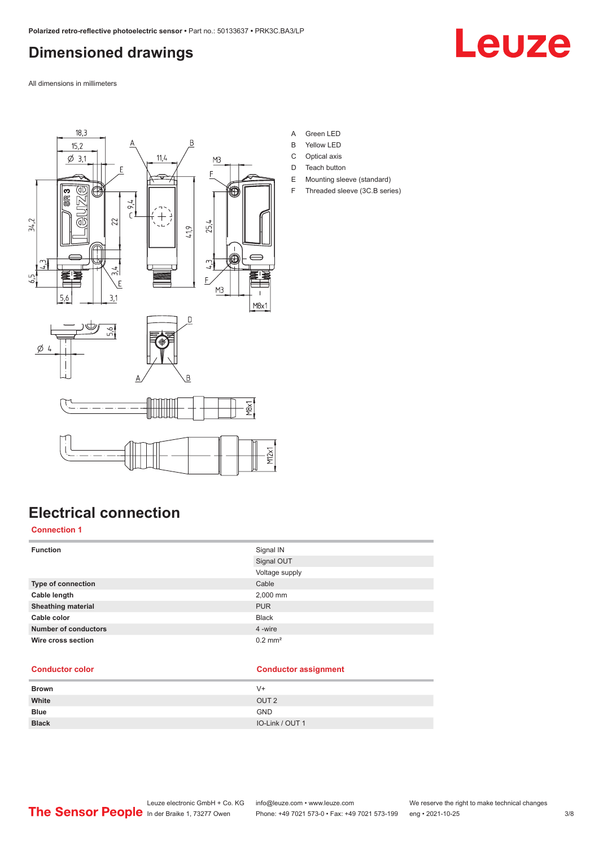### <span id="page-2-0"></span>**Dimensioned drawings**



All dimensions in millimeters



**Electrical connection**

#### **Connection 1**

| <b>Function</b>             | Signal IN             |
|-----------------------------|-----------------------|
|                             | Signal OUT            |
|                             | Voltage supply        |
| <b>Type of connection</b>   | Cable                 |
| Cable length                | 2,000 mm              |
| <b>Sheathing material</b>   | <b>PUR</b>            |
| Cable color                 | <b>Black</b>          |
| <b>Number of conductors</b> | 4 -wire               |
| Wire cross section          | $0.2$ mm <sup>2</sup> |

#### **Conductor color Conductor assignment**

| <b>Brown</b> | V+               |
|--------------|------------------|
| White        | OUT <sub>2</sub> |
| <b>Blue</b>  | <b>GND</b>       |
| <b>Black</b> | IO-Link / OUT 1  |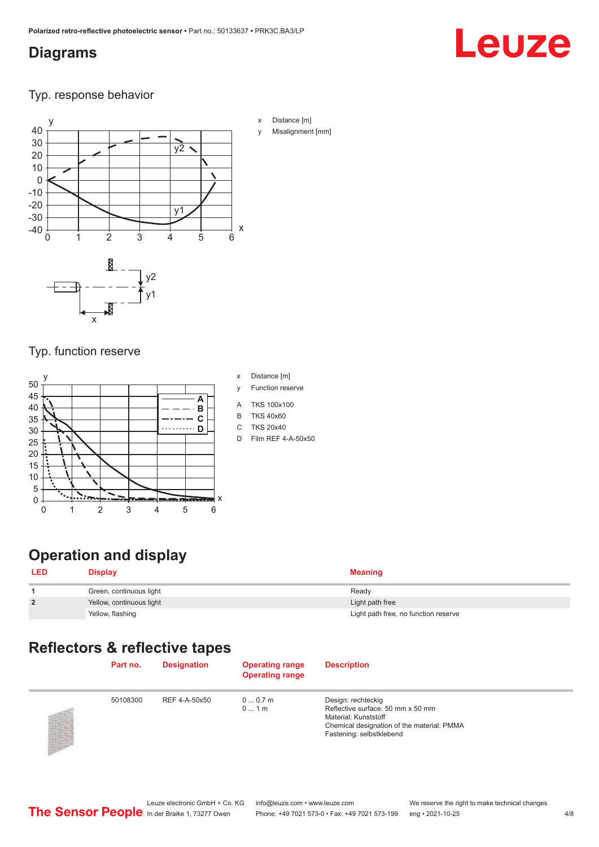#### <span id="page-3-0"></span>**Diagrams**

# Leuze

Typ. response behavior



- x Distance [m]
- Misalignment [mm]

#### Typ. function reserve



- x Distance [m]
- y Function reserve
- A TKS 100x100
- B TKS 40x60
- C TKS 20x40
- D Film REF 4-A-50x50

## **Operation and display**

 $\overline{a}$ 

| <b>LED</b>     | <b>Display</b>           | <b>Meaning</b>                       |
|----------------|--------------------------|--------------------------------------|
|                | Green, continuous light  | Ready                                |
| $\overline{2}$ | Yellow, continuous light | Light path free                      |
|                | Yellow, flashing         | Light path free, no function reserve |

### **Reflectors & reflective tapes**

| Part no. | <b>Designation</b> | <b>Operating range</b><br><b>Operating range</b> | <b>Description</b>                                                                                                                                        |
|----------|--------------------|--------------------------------------------------|-----------------------------------------------------------------------------------------------------------------------------------------------------------|
| 50108300 | REF 4-A-50x50      | 00.7m<br>01m                                     | Design: rechteckig<br>Reflective surface: 50 mm x 50 mm<br>Material: Kunststoff<br>Chemical designation of the material: PMMA<br>Fastening: selbstklebend |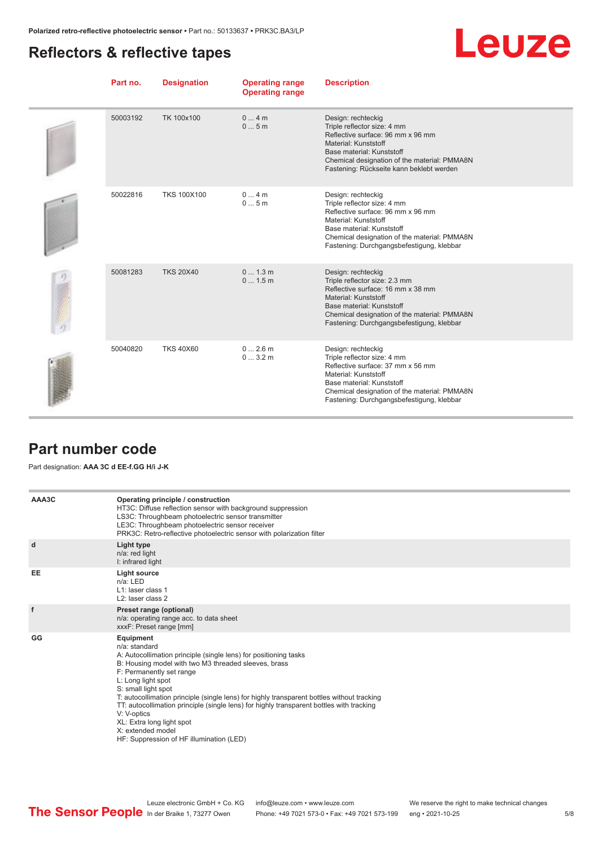#### <span id="page-4-0"></span>**Reflectors & reflective tapes**

# **Leuze**

| Part no. | <b>Designation</b> | <b>Operating range</b><br><b>Operating range</b> | <b>Description</b>                                                                                                                                                                                                                         |
|----------|--------------------|--------------------------------------------------|--------------------------------------------------------------------------------------------------------------------------------------------------------------------------------------------------------------------------------------------|
| 50003192 | TK 100x100         | 04m<br>05m                                       | Design: rechteckig<br>Triple reflector size: 4 mm<br>Reflective surface: 96 mm x 96 mm<br>Material: Kunststoff<br>Base material: Kunststoff<br>Chemical designation of the material: PMMA8N<br>Fastening: Rückseite kann beklebt werden    |
| 50022816 | <b>TKS 100X100</b> | 04m<br>05m                                       | Design: rechteckig<br>Triple reflector size: 4 mm<br>Reflective surface: 96 mm x 96 mm<br>Material: Kunststoff<br>Base material: Kunststoff<br>Chemical designation of the material: PMMA8N<br>Fastening: Durchgangsbefestigung, klebbar   |
| 50081283 | <b>TKS 20X40</b>   | 0 1.3 m<br>0 1.5 m                               | Design: rechteckig<br>Triple reflector size: 2.3 mm<br>Reflective surface: 16 mm x 38 mm<br>Material: Kunststoff<br>Base material: Kunststoff<br>Chemical designation of the material: PMMA8N<br>Fastening: Durchgangsbefestigung, klebbar |
| 50040820 | <b>TKS 40X60</b>   | 02.6m<br>03.2m                                   | Design: rechteckig<br>Triple reflector size: 4 mm<br>Reflective surface: 37 mm x 56 mm<br>Material: Kunststoff<br>Base material: Kunststoff<br>Chemical designation of the material: PMMA8N<br>Fastening: Durchgangsbefestigung, klebbar   |

#### **Part number code**

Part designation: **AAA 3C d EE-f.GG H/i J-K**

| AAA3C | Operating principle / construction<br>HT3C: Diffuse reflection sensor with background suppression<br>LS3C: Throughbeam photoelectric sensor transmitter<br>LE3C: Throughbeam photoelectric sensor receiver<br>PRK3C: Retro-reflective photoelectric sensor with polarization filter                                                                                                                                                                                                                                                    |
|-------|----------------------------------------------------------------------------------------------------------------------------------------------------------------------------------------------------------------------------------------------------------------------------------------------------------------------------------------------------------------------------------------------------------------------------------------------------------------------------------------------------------------------------------------|
| d     | <b>Light type</b><br>n/a: red light<br>I: infrared light                                                                                                                                                                                                                                                                                                                                                                                                                                                                               |
| EE    | Light source<br>$n/a$ : LED<br>L1: laser class 1<br>L <sub>2</sub> : laser class 2                                                                                                                                                                                                                                                                                                                                                                                                                                                     |
| f     | Preset range (optional)<br>n/a: operating range acc. to data sheet<br>xxxF: Preset range [mm]                                                                                                                                                                                                                                                                                                                                                                                                                                          |
| GG    | Equipment<br>n/a: standard<br>A: Autocollimation principle (single lens) for positioning tasks<br>B: Housing model with two M3 threaded sleeves, brass<br>F: Permanently set range<br>L: Long light spot<br>S: small light spot<br>T: autocollimation principle (single lens) for highly transparent bottles without tracking<br>TT: autocollimation principle (single lens) for highly transparent bottles with tracking<br>V: V-optics<br>XL: Extra long light spot<br>X: extended model<br>HF: Suppression of HF illumination (LED) |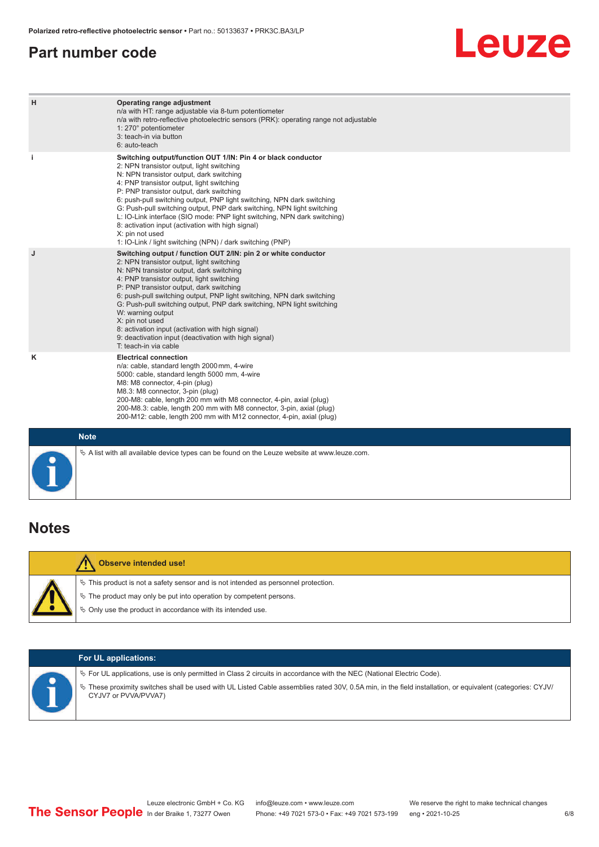#### <span id="page-5-0"></span>**Part number code**

# **Leuze**

| H           | Operating range adjustment<br>n/a with HT: range adjustable via 8-turn potentiometer<br>n/a with retro-reflective photoelectric sensors (PRK): operating range not adjustable<br>1: 270° potentiometer<br>3: teach-in via button<br>6: auto-teach                                                                                                                                                                                                                                                                                                                                                                   |
|-------------|---------------------------------------------------------------------------------------------------------------------------------------------------------------------------------------------------------------------------------------------------------------------------------------------------------------------------------------------------------------------------------------------------------------------------------------------------------------------------------------------------------------------------------------------------------------------------------------------------------------------|
| j.          | Switching output/function OUT 1/IN: Pin 4 or black conductor<br>2: NPN transistor output, light switching<br>N: NPN transistor output, dark switching<br>4: PNP transistor output, light switching<br>P: PNP transistor output, dark switching<br>6: push-pull switching output, PNP light switching, NPN dark switching<br>G: Push-pull switching output, PNP dark switching, NPN light switching<br>L: IO-Link interface (SIO mode: PNP light switching, NPN dark switching)<br>8: activation input (activation with high signal)<br>X: pin not used<br>1: IO-Link / light switching (NPN) / dark switching (PNP) |
| J           | Switching output / function OUT 2/IN: pin 2 or white conductor<br>2: NPN transistor output, light switching<br>N: NPN transistor output, dark switching<br>4: PNP transistor output, light switching<br>P: PNP transistor output, dark switching<br>6: push-pull switching output, PNP light switching, NPN dark switching<br>G: Push-pull switching output, PNP dark switching, NPN light switching<br>W: warning output<br>X: pin not used<br>8: activation input (activation with high signal)<br>9: deactivation input (deactivation with high signal)<br>T: teach-in via cable                                 |
| ĸ           | <b>Electrical connection</b><br>n/a: cable, standard length 2000 mm, 4-wire<br>5000: cable, standard length 5000 mm, 4-wire<br>M8: M8 connector, 4-pin (plug)<br>M8.3: M8 connector, 3-pin (plug)<br>200-M8: cable, length 200 mm with M8 connector, 4-pin, axial (plug)<br>200-M8.3: cable, length 200 mm with M8 connector, 3-pin, axial (plug)<br>200-M12: cable, length 200 mm with M12 connector, 4-pin, axial (plug)                                                                                                                                                                                          |
| <b>Note</b> |                                                                                                                                                                                                                                                                                                                                                                                                                                                                                                                                                                                                                     |

#### **Notes**

| <b>Observe intended use!</b>                                                                                                                                                                                                  |  |  |  |  |
|-------------------------------------------------------------------------------------------------------------------------------------------------------------------------------------------------------------------------------|--|--|--|--|
| $\%$ This product is not a safety sensor and is not intended as personnel protection.<br>$\&$ The product may only be put into operation by competent persons.<br>§ Only use the product in accordance with its intended use. |  |  |  |  |
|                                                                                                                                                                                                                               |  |  |  |  |

 $\%$  A list with all available device types can be found on the Leuze website at www.leuze.com.

| <b>For UL applications:</b>                                                                                                                                                                                                                                                                                   |
|---------------------------------------------------------------------------------------------------------------------------------------------------------------------------------------------------------------------------------------------------------------------------------------------------------------|
| $\%$ For UL applications, use is only permitted in Class 2 circuits in accordance with the NEC (National Electric Code).<br>V These proximity switches shall be used with UL Listed Cable assemblies rated 30V, 0.5A min, in the field installation, or equivalent (categories: CYJV/<br>CYJV7 or PVVA/PVVA7) |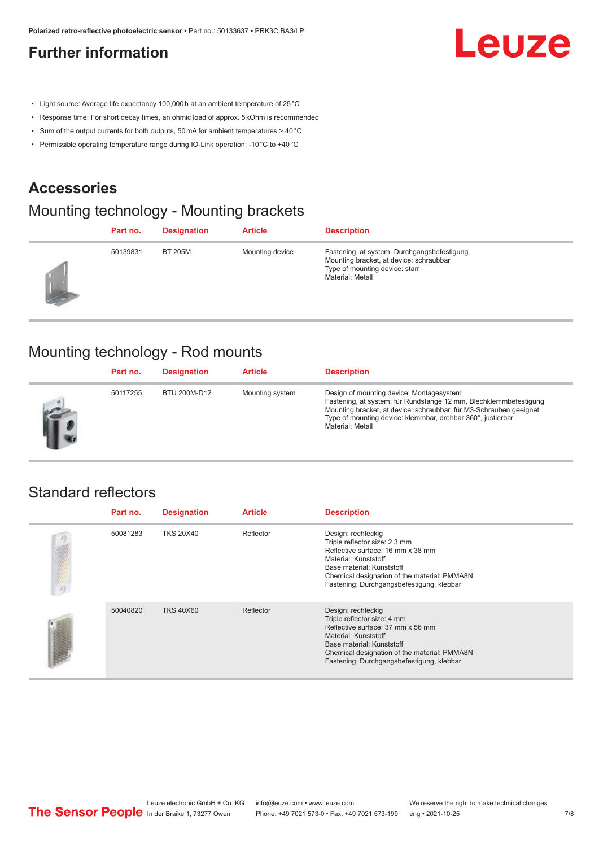#### <span id="page-6-0"></span>**Further information**

# Leuze

- Light source: Average life expectancy 100,000 h at an ambient temperature of 25 °C
- Response time: For short decay times, an ohmic load of approx. 5 kOhm is recommended
- Sum of the output currents for both outputs, 50 mA for ambient temperatures > 40 °C
- Permissible operating temperature range during IO-Link operation: -10 °C to +40 °C

#### **Accessories**

### Mounting technology - Mounting brackets

|                  | Part no. | <b>Designation</b> | <b>Article</b>  | <b>Description</b>                                                                                                                           |
|------------------|----------|--------------------|-----------------|----------------------------------------------------------------------------------------------------------------------------------------------|
| <b>Septiment</b> | 50139831 | <b>BT 205M</b>     | Mounting device | Fastening, at system: Durchgangsbefestigung<br>Mounting bracket, at device: schraubbar<br>Type of mounting device: starr<br>Material: Metall |

#### Mounting technology - Rod mounts

| Part no. | <b>Designation</b> | <b>Article</b>  | <b>Description</b>                                                                                                                                                                                                                                                     |
|----------|--------------------|-----------------|------------------------------------------------------------------------------------------------------------------------------------------------------------------------------------------------------------------------------------------------------------------------|
| 50117255 | BTU 200M-D12       | Mounting system | Design of mounting device: Montagesystem<br>Fastening, at system: für Rundstange 12 mm, Blechklemmbefestigung<br>Mounting bracket, at device: schraubbar, für M3-Schrauben geeignet<br>Type of mounting device: klemmbar, drehbar 360°, justierbar<br>Material: Metall |

#### Standard reflectors

|    | Part no. | <b>Designation</b> | <b>Article</b> | <b>Description</b>                                                                                                                                                                                                                         |
|----|----------|--------------------|----------------|--------------------------------------------------------------------------------------------------------------------------------------------------------------------------------------------------------------------------------------------|
| リ端 | 50081283 | <b>TKS 20X40</b>   | Reflector      | Design: rechteckig<br>Triple reflector size: 2.3 mm<br>Reflective surface: 16 mm x 38 mm<br>Material: Kunststoff<br>Base material: Kunststoff<br>Chemical designation of the material: PMMA8N<br>Fastening: Durchgangsbefestigung, klebbar |
|    | 50040820 | <b>TKS 40X60</b>   | Reflector      | Design: rechteckig<br>Triple reflector size: 4 mm<br>Reflective surface: 37 mm x 56 mm<br>Material: Kunststoff<br>Base material: Kunststoff<br>Chemical designation of the material: PMMA8N<br>Fastening: Durchgangsbefestigung, klebbar   |